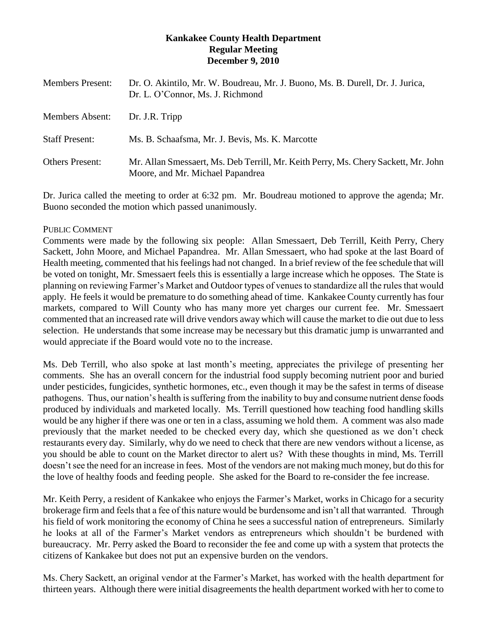## **Kankakee County Health Department Regular Meeting December 9, 2010**

| <b>Members Present:</b> | Dr. O. Akintilo, Mr. W. Boudreau, Mr. J. Buono, Ms. B. Durell, Dr. J. Jurica,<br>Dr. L. O'Connor, Ms. J. Richmond      |
|-------------------------|------------------------------------------------------------------------------------------------------------------------|
| Members Absent:         | Dr. J.R. Tripp                                                                                                         |
| <b>Staff Present:</b>   | Ms. B. Schaafsma, Mr. J. Bevis, Ms. K. Marcotte                                                                        |
| <b>Others Present:</b>  | Mr. Allan Smessaert, Ms. Deb Terrill, Mr. Keith Perry, Ms. Chery Sackett, Mr. John<br>Moore, and Mr. Michael Papandrea |

Dr. Jurica called the meeting to order at 6:32 pm. Mr. Boudreau motioned to approve the agenda; Mr. Buono seconded the motion which passed unanimously.

## PUBLIC COMMENT

Comments were made by the following six people: Allan Smessaert, Deb Terrill, Keith Perry, Chery Sackett, John Moore, and Michael Papandrea. Mr. Allan Smessaert, who had spoke at the last Board of Health meeting, commented that his feelings had not changed. In a brief review of the fee schedule that will be voted on tonight, Mr. Smessaert feels this is essentially a large increase which he opposes. The State is planning on reviewing Farmer's Market and Outdoor types of venues to standardize all the rules that would apply. He feels it would be premature to do something ahead of time. Kankakee County currently has four markets, compared to Will County who has many more yet charges our current fee. Mr. Smessaert commented that an increased rate will drive vendors away which will cause the market to die out due to less selection. He understands that some increase may be necessary but this dramatic jump is unwarranted and would appreciate if the Board would vote no to the increase.

Ms. Deb Terrill, who also spoke at last month's meeting, appreciates the privilege of presenting her comments. She has an overall concern for the industrial food supply becoming nutrient poor and buried under pesticides, fungicides, synthetic hormones, etc., even though it may be the safest in terms of disease pathogens. Thus, our nation's health is suffering from the inability to buy and consume nutrient dense foods produced by individuals and marketed locally. Ms. Terrill questioned how teaching food handling skills would be any higher if there was one or ten in a class, assuming we hold them. A comment was also made previously that the market needed to be checked every day, which she questioned as we don't check restaurants every day. Similarly, why do we need to check that there are new vendors without a license, as you should be able to count on the Market director to alert us? With these thoughts in mind, Ms. Terrill doesn't see the need for an increase in fees. Most of the vendors are not making much money, but do this for the love of healthy foods and feeding people. She asked for the Board to re-consider the fee increase.

Mr. Keith Perry, a resident of Kankakee who enjoys the Farmer's Market, works in Chicago for a security brokerage firm and feels that a fee of this nature would be burdensome and isn't all that warranted. Through his field of work monitoring the economy of China he sees a successful nation of entrepreneurs. Similarly he looks at all of the Farmer's Market vendors as entrepreneurs which shouldn't be burdened with bureaucracy. Mr. Perry asked the Board to reconsider the fee and come up with a system that protects the citizens of Kankakee but does not put an expensive burden on the vendors.

Ms. Chery Sackett, an original vendor at the Farmer's Market, has worked with the health department for thirteen years. Although there were initial disagreements the health department worked with her to come to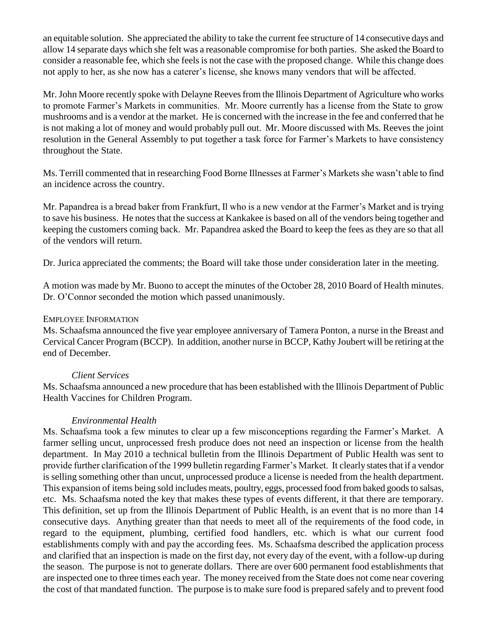an equitable solution. She appreciated the ability to take the current fee structure of 14 consecutive days and allow 14 separate days which she felt was a reasonable compromise for both parties. She asked the Board to consider a reasonable fee, which she feels is not the case with the proposed change. While this change does not apply to her, as she now has a caterer's license, she knows many vendors that will be affected.

Mr. John Moore recently spoke with Delayne Reeves from the Illinois Department of Agriculture who works to promote Farmer's Markets in communities. Mr. Moore currently has a license from the State to grow mushrooms and is a vendor at the market. He is concerned with the increase in the fee and conferred that he is not making a lot of money and would probably pull out. Mr. Moore discussed with Ms. Reeves the joint resolution in the General Assembly to put together a task force for Farmer's Markets to have consistency throughout the State.

Ms. Terrill commented that in researching Food Borne Illnesses at Farmer's Markets she wasn't able to find an incidence across the country.

Mr. Papandrea is a bread baker from Frankfurt, Il who is a new vendor at the Farmer's Market and is trying to save his business. He notes that the success at Kankakee is based on all of the vendors being together and keeping the customers coming back. Mr. Papandrea asked the Board to keep the fees as they are so that all of the vendors will return.

Dr. Jurica appreciated the comments; the Board will take those under consideration later in the meeting.

A motion was made by Mr. Buono to accept the minutes of the October 28, 2010 Board of Health minutes. Dr. O'Connor seconded the motion which passed unanimously.

### EMPLOYEE INFORMATION

Ms. Schaafsma announced the five year employee anniversary of Tamera Ponton, a nurse in the Breast and Cervical Cancer Program (BCCP). In addition, another nurse in BCCP, Kathy Joubert will be retiring at the end of December.

# *Client Services*

Ms. Schaafsma announced a new procedure that has been established with the Illinois Department of Public Health Vaccines for Children Program.

# *Environmental Health*

Ms. Schaafsma took a few minutes to clear up a few misconceptions regarding the Farmer's Market. A farmer selling uncut, unprocessed fresh produce does not need an inspection or license from the health department. In May 2010 a technical bulletin from the Illinois Department of Public Health was sent to provide further clarification of the 1999 bulletin regarding Farmer's Market. It clearly states that if a vendor is selling something other than uncut, unprocessed produce a license is needed from the health department. This expansion of items being sold includes meats, poultry, eggs, processed food from baked goods to salsas, etc. Ms. Schaafsma noted the key that makes these types of events different, it that there are temporary. This definition, set up from the Illinois Department of Public Health, is an event that is no more than 14 consecutive days. Anything greater than that needs to meet all of the requirements of the food code, in regard to the equipment, plumbing, certified food handlers, etc. which is what our current food establishments comply with and pay the according fees. Ms. Schaafsma described the application process and clarified that an inspection is made on the first day, not every day of the event, with a follow-up during the season. The purpose is not to generate dollars. There are over 600 permanent food establishments that are inspected one to three times each year. The money received from the State does not come near covering the cost of that mandated function. The purpose is to make sure food is prepared safely and to prevent food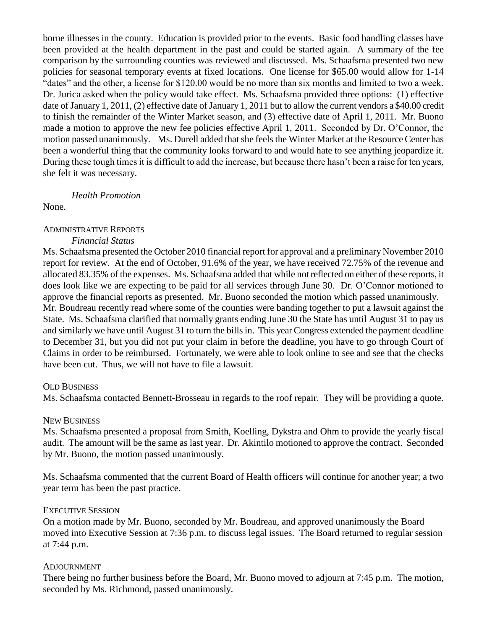borne illnesses in the county. Education is provided prior to the events. Basic food handling classes have been provided at the health department in the past and could be started again. A summary of the fee comparison by the surrounding counties was reviewed and discussed. Ms. Schaafsma presented two new policies for seasonal temporary events at fixed locations. One license for \$65.00 would allow for 1-14 "dates" and the other, a license for \$120.00 would be no more than six months and limited to two a week. Dr. Jurica asked when the policy would take effect. Ms. Schaafsma provided three options: (1) effective date of January 1, 2011, (2) effective date of January 1, 2011 but to allow the current vendors a \$40.00 credit to finish the remainder of the Winter Market season, and (3) effective date of April 1, 2011. Mr. Buono made a motion to approve the new fee policies effective April 1, 2011. Seconded by Dr. O'Connor, the motion passed unanimously. Ms. Durell added that she feels the Winter Market at the Resource Center has been a wonderful thing that the community looks forward to and would hate to see anything jeopardize it. During these tough times it is difficult to add the increase, but because there hasn't been a raise for ten years, she felt it was necessary.

### *Health Promotion*

None.

## ADMINISTRATIVE REPORTS

#### *Financial Status*

Ms. Schaafsma presented the October 2010 financial report for approval and a preliminary November 2010 report for review. At the end of October, 91.6% of the year, we have received 72.75% of the revenue and allocated 83.35% of the expenses. Ms. Schaafsma added that while not reflected on either of these reports, it does look like we are expecting to be paid for all services through June 30. Dr. O'Connor motioned to approve the financial reports as presented. Mr. Buono seconded the motion which passed unanimously. Mr. Boudreau recently read where some of the counties were banding together to put a lawsuit against the State. Ms. Schaafsma clarified that normally grants ending June 30 the State has until August 31 to pay us and similarly we have until August 31 to turn the bills in. This year Congress extended the payment deadline to December 31, but you did not put your claim in before the deadline, you have to go through Court of Claims in order to be reimbursed. Fortunately, we were able to look online to see and see that the checks have been cut. Thus, we will not have to file a lawsuit.

### OLD BUSINESS

Ms. Schaafsma contacted Bennett-Brosseau in regards to the roof repair. They will be providing a quote.

### NEW BUSINESS

Ms. Schaafsma presented a proposal from Smith, Koelling, Dykstra and Ohm to provide the yearly fiscal audit. The amount will be the same as last year. Dr. Akintilo motioned to approve the contract. Seconded by Mr. Buono, the motion passed unanimously.

Ms. Schaafsma commented that the current Board of Health officers will continue for another year; a two year term has been the past practice.

### EXECUTIVE SESSION

On a motion made by Mr. Buono, seconded by Mr. Boudreau, and approved unanimously the Board moved into Executive Session at 7:36 p.m. to discuss legal issues. The Board returned to regular session at 7:44 p.m.

### ADJOURNMENT

There being no further business before the Board, Mr. Buono moved to adjourn at 7:45 p.m. The motion, seconded by Ms. Richmond, passed unanimously.